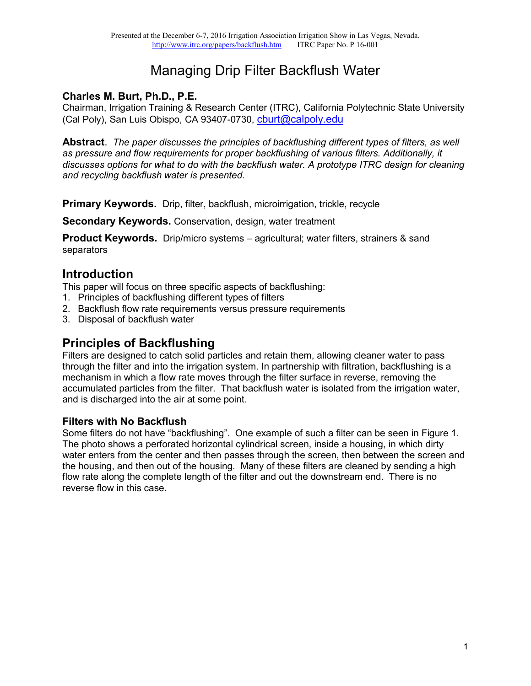# Managing Drip Filter Backflush Water

### **Charles M. Burt, Ph.D., P.E.**

Chairman, Irrigation Training & Research Center (ITRC), California Polytechnic State University (Cal Poly), San Luis Obispo, CA 93407-0730, [cburt@calpoly.edu](mailto:cburt@calpoly.edu)

**Abstract**. *The paper discusses the principles of backflushing different types of filters, as well as pressure and flow requirements for proper backflushing of various filters. Additionally, it discusses options for what to do with the backflush water. A prototype ITRC design for cleaning and recycling backflush water is presented.*

**Primary Keywords.** Drip, filter, backflush, microirrigation, trickle, recycle

**Secondary Keywords.** Conservation, design, water treatment

**Product Keywords.** Drip/micro systems – agricultural; water filters, strainers & sand separators

### **Introduction**

This paper will focus on three specific aspects of backflushing:

- 1. Principles of backflushing different types of filters
- 2. Backflush flow rate requirements versus pressure requirements
- 3. Disposal of backflush water

### **Principles of Backflushing**

Filters are designed to catch solid particles and retain them, allowing cleaner water to pass through the filter and into the irrigation system. In partnership with filtration, backflushing is a mechanism in which a flow rate moves through the filter surface in reverse, removing the accumulated particles from the filter. That backflush water is isolated from the irrigation water, and is discharged into the air at some point.

#### **Filters with No Backflush**

Some filters do not have "backflushing". One example of such a filter can be seen in Figure 1. The photo shows a perforated horizontal cylindrical screen, inside a housing, in which dirty water enters from the center and then passes through the screen, then between the screen and the housing, and then out of the housing. Many of these filters are cleaned by sending a high flow rate along the complete length of the filter and out the downstream end. There is no reverse flow in this case.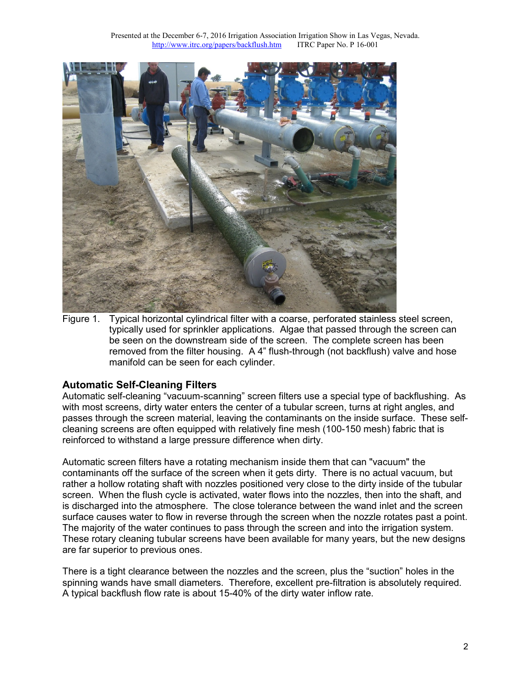

Figure 1. Typical horizontal cylindrical filter with a coarse, perforated stainless steel screen, typically used for sprinkler applications. Algae that passed through the screen can be seen on the downstream side of the screen. The complete screen has been removed from the filter housing. A 4" flush-through (not backflush) valve and hose manifold can be seen for each cylinder.

#### **Automatic Self-Cleaning Filters**

Automatic self-cleaning "vacuum-scanning" screen filters use a special type of backflushing. As with most screens, dirty water enters the center of a tubular screen, turns at right angles, and passes through the screen material, leaving the contaminants on the inside surface. These selfcleaning screens are often equipped with relatively fine mesh (100-150 mesh) fabric that is reinforced to withstand a large pressure difference when dirty.

Automatic screen filters have a rotating mechanism inside them that can "vacuum" the contaminants off the surface of the screen when it gets dirty. There is no actual vacuum, but rather a hollow rotating shaft with nozzles positioned very close to the dirty inside of the tubular screen. When the flush cycle is activated, water flows into the nozzles, then into the shaft, and is discharged into the atmosphere. The close tolerance between the wand inlet and the screen surface causes water to flow in reverse through the screen when the nozzle rotates past a point. The majority of the water continues to pass through the screen and into the irrigation system. These rotary cleaning tubular screens have been available for many years, but the new designs are far superior to previous ones.

There is a tight clearance between the nozzles and the screen, plus the "suction" holes in the spinning wands have small diameters. Therefore, excellent pre-filtration is absolutely required. A typical backflush flow rate is about 15-40% of the dirty water inflow rate.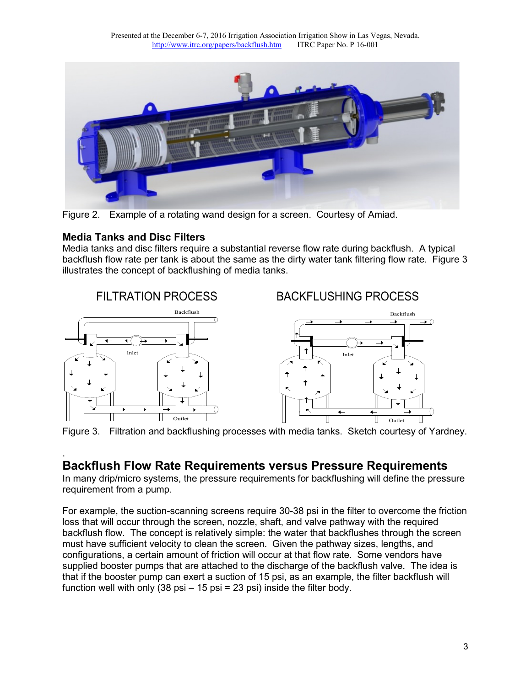

Figure 2. Example of a rotating wand design for a screen. Courtesy of Amiad.

#### **Media Tanks and Disc Filters**

Media tanks and disc filters require a substantial reverse flow rate during backflush. A typical backflush flow rate per tank is about the same as the dirty water tank filtering flow rate. Figure 3 illustrates the concept of backflushing of media tanks.



Figure 3. Filtration and backflushing processes with media tanks. Sketch courtesy of Yardney.

#### . **Backflush Flow Rate Requirements versus Pressure Requirements**

In many drip/micro systems, the pressure requirements for backflushing will define the pressure requirement from a pump.

For example, the suction-scanning screens require 30-38 psi in the filter to overcome the friction loss that will occur through the screen, nozzle, shaft, and valve pathway with the required backflush flow. The concept is relatively simple: the water that backflushes through the screen must have sufficient velocity to clean the screen. Given the pathway sizes, lengths, and configurations, a certain amount of friction will occur at that flow rate. Some vendors have supplied booster pumps that are attached to the discharge of the backflush valve. The idea is that if the booster pump can exert a suction of 15 psi, as an example, the filter backflush will function well with only  $(38 \text{ psi} - 15 \text{ psi} = 23 \text{ psi})$  inside the filter body.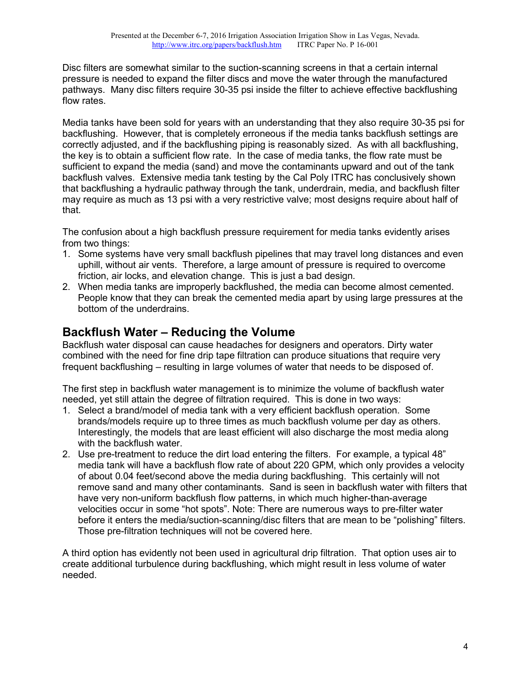Disc filters are somewhat similar to the suction-scanning screens in that a certain internal pressure is needed to expand the filter discs and move the water through the manufactured pathways. Many disc filters require 30-35 psi inside the filter to achieve effective backflushing flow rates.

Media tanks have been sold for years with an understanding that they also require 30-35 psi for backflushing. However, that is completely erroneous if the media tanks backflush settings are correctly adjusted, and if the backflushing piping is reasonably sized. As with all backflushing, the key is to obtain a sufficient flow rate. In the case of media tanks, the flow rate must be sufficient to expand the media (sand) and move the contaminants upward and out of the tank backflush valves. Extensive media tank testing by the Cal Poly ITRC has conclusively shown that backflushing a hydraulic pathway through the tank, underdrain, media, and backflush filter may require as much as 13 psi with a very restrictive valve; most designs require about half of that.

The confusion about a high backflush pressure requirement for media tanks evidently arises from two things:

- 1. Some systems have very small backflush pipelines that may travel long distances and even uphill, without air vents. Therefore, a large amount of pressure is required to overcome friction, air locks, and elevation change. This is just a bad design.
- 2. When media tanks are improperly backflushed, the media can become almost cemented. People know that they can break the cemented media apart by using large pressures at the bottom of the underdrains.

# **Backflush Water – Reducing the Volume**

Backflush water disposal can cause headaches for designers and operators. Dirty water combined with the need for fine drip tape filtration can produce situations that require very frequent backflushing – resulting in large volumes of water that needs to be disposed of.

The first step in backflush water management is to minimize the volume of backflush water needed, yet still attain the degree of filtration required. This is done in two ways:

- 1. Select a brand/model of media tank with a very efficient backflush operation. Some brands/models require up to three times as much backflush volume per day as others. Interestingly, the models that are least efficient will also discharge the most media along with the backflush water.
- 2. Use pre-treatment to reduce the dirt load entering the filters. For example, a typical 48" media tank will have a backflush flow rate of about 220 GPM, which only provides a velocity of about 0.04 feet/second above the media during backflushing. This certainly will not remove sand and many other contaminants. Sand is seen in backflush water with filters that have very non-uniform backflush flow patterns, in which much higher-than-average velocities occur in some "hot spots". Note: There are numerous ways to pre-filter water before it enters the media/suction-scanning/disc filters that are mean to be "polishing" filters. Those pre-filtration techniques will not be covered here.

A third option has evidently not been used in agricultural drip filtration. That option uses air to create additional turbulence during backflushing, which might result in less volume of water needed.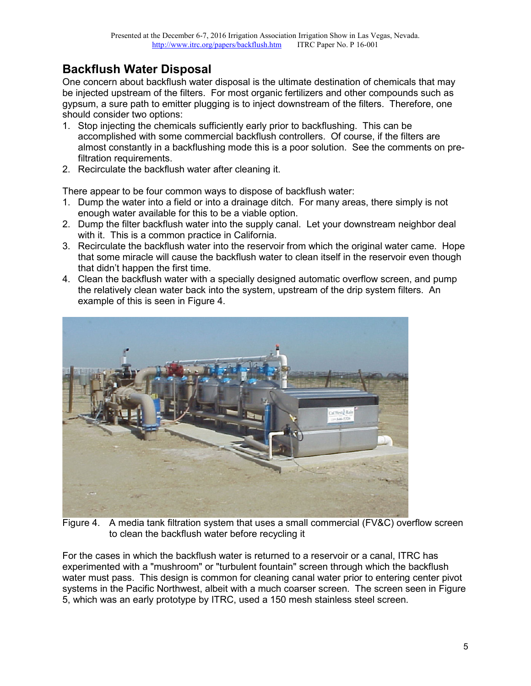# **Backflush Water Disposal**

One concern about backflush water disposal is the ultimate destination of chemicals that may be injected upstream of the filters. For most organic fertilizers and other compounds such as gypsum, a sure path to emitter plugging is to inject downstream of the filters. Therefore, one should consider two options:

- 1. Stop injecting the chemicals sufficiently early prior to backflushing. This can be accomplished with some commercial backflush controllers. Of course, if the filters are almost constantly in a backflushing mode this is a poor solution. See the comments on prefiltration requirements.
- 2. Recirculate the backflush water after cleaning it.

There appear to be four common ways to dispose of backflush water:

- 1. Dump the water into a field or into a drainage ditch. For many areas, there simply is not enough water available for this to be a viable option.
- 2. Dump the filter backflush water into the supply canal. Let your downstream neighbor deal with it. This is a common practice in California.
- 3. Recirculate the backflush water into the reservoir from which the original water came. Hope that some miracle will cause the backflush water to clean itself in the reservoir even though that didn't happen the first time.
- 4. Clean the backflush water with a specially designed automatic overflow screen, and pump the relatively clean water back into the system, upstream of the drip system filters. An example of this is seen in Figure 4.



Figure 4. A media tank filtration system that uses a small commercial (FV&C) overflow screen to clean the backflush water before recycling it

For the cases in which the backflush water is returned to a reservoir or a canal, ITRC has experimented with a "mushroom" or "turbulent fountain" screen through which the backflush water must pass. This design is common for cleaning canal water prior to entering center pivot systems in the Pacific Northwest, albeit with a much coarser screen. The screen seen in Figure 5, which was an early prototype by ITRC, used a 150 mesh stainless steel screen.